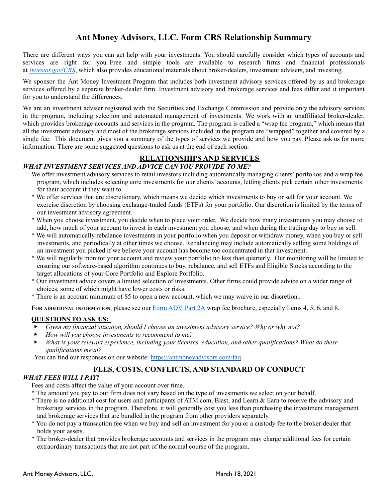# **Ant Money Advisors, LLC. Form CRS Relationship Summary**

There are different ways you can get help with your investments. You should carefully consider which types of accounts and services are right for you. Free and simple tools are available to research firms and financial professionals at *[Investor.gov/CRS](http://www.investor.gov/CRS)*, which also provides educational materials about broker-dealers, investment advisers, and investing.

We sponsor the Ant Money Investment Program that includes both investment advisory services offered by us and brokerage services offered by a separate broker-dealer firm. Investment advisory and brokerage services and fees differ and it important for you to understand the differences.

We are an investment adviser registered with the Securities and Exchange Commission and provide only the advisory services in the program, including selection and automated management of investments. We work with an unaffiliated broker-dealer, which provides brokerage accounts and services in the program. The program is called a "wrap fee program," which means that all the investment advisory and most of the brokerage services included in the program are "wrapped" together and covered by a single fee. This document gives you a summary of the types of services we provide and how you pay. Please ask us for more information. There are some suggested questions to ask us at the end of each section.

# **RELATIONSHIPS AND SERVICES**

### *WHAT INVESTMENT SERVICES AND ADVICE CAN YOU PROVIDE TO ME?*

- We offer investment advisory services to retail investors including automatically managing clients' portfolios and a wrap fee program, which includes selecting core investments for our clients' accounts, letting clients pick certain other investments for their account if they want to.
- \* We offer services that are discretionary, which means we decide which investments to buy or sell for your account. We exercise discretion by choosing exchange-traded funds (ETFs) for your portfolio. Our discretion is limited by the terms of our investment advisory agreement.
- \* When you choose investment, you decide when to place your order. We decide how many investments you may choose to add, how much of your account to invest in each investment you choose, and when during the trading day to buy or sell.
- \* We will automatically rebalance investments in your portfolio when you deposit or withdraw money, when you buy or sell investments, and periodically at other times we choose. Rebalancing may include automatically selling some holdings of an investment you picked if we believe your account has become too concentrated in that investment.
- \* We will regularly monitor your account and review your portfolio no less than quarterly. Our monitoring will be limited to ensuring our software-based algorithm continues to buy, rebalance, and sell ETFs and Eligible Stocks according to the target allocations of your Core Portfolio and Explore Portfolio.
- \* Our investment advice covers a limited selection of investments. Other firms could provide advice on a wider range of choices, some of which might have lower costs or risks.
- \* There is an account minimum of \$5 to open a new account, which we may waive in our discretion..

FOR ADDITIONAL INFORMATION, please see our [Form ADV](https://files.adviserinfo.sec.gov/IAPD/Content/Common/crd_iapd_Brochure.aspx?BRCHR_VRSN_ID=646081) Part 2A wrap fee brochure, especially Items 4, 5, 6, and 8.

### **QUESTIONS TO ASK US:**

- ▶ *Given my financial situation, should I choose an investment advisory service? Why or why not?*
- ▶ *How will you choose investments to recommend to me?*
- ▶ *What is your relevant experience, including your licenses, education, and other qualifications? What do these qualifications mean?*

You can find our responses on our website: <https://antmoneyadvisors.com/faq>

# **FEES, COSTS, CONFLICTS, AND STANDARD OF CONDUCT**

## *WHAT FEES WILL I PAY?*

Fees and costs affect the value of your account over time.

- \* The amount you pay to our firm does not vary based on the type of investments we select on your behalf.
- \* There is no additional cost for users and participants of ATM.com, Blast, and Learn & Earn to receive the advisory and brokerage services in the program. Therefore, it will generally cost you less than purchasing the investment management and brokerage services that are bundled in the program from other providers separately.
- \* You do not pay a transaction fee when we buy and sell an investment for you or a custody fee to the broker-dealer that holds your assets.
- \* The broker-dealer that provides brokerage accounts and services in the program may charge additional fees for certain extraordinary transactions that are not part of the normal course of the program.